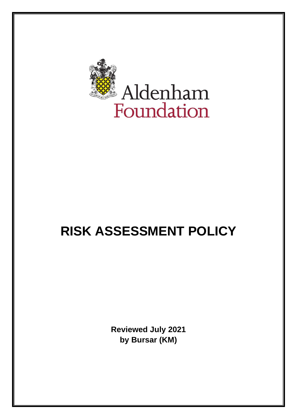

# **RISK ASSESSMENT POLICY**

**Reviewed July 2021 by Bursar (KM)**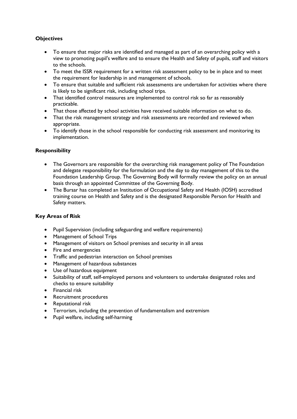## **Objectives**

- To ensure that major risks are identified and managed as part of an overarching policy with a view to promoting pupil's welfare and to ensure the Health and Safety of pupils, staff and visitors to the schools.
- To meet the ISSR requirement for a written risk assessment policy to be in place and to meet the requirement for leadership in and management of schools.
- To ensure that suitable and sufficient risk assessments are undertaken for activities where there is likely to be significant risk, including school trips.
- That identified control measures are implemented to control risk so far as reasonably practicable.
- That those affected by school activities have received suitable information on what to do.
- That the risk management strategy and risk assessments are recorded and reviewed when appropriate.
- To identify those in the school responsible for conducting risk assessment and monitoring its implementation.

### **Responsibility**

- The Governors are responsible for the overarching risk management policy of The Foundation and delegate responsibility for the formulation and the day to day management of this to the Foundation Leadership Group. The Governing Body will formally review the policy on an annual basis through an appointed Committee of the Governing Body.
- The Bursar has completed an Institution of Occupational Safety and Health (IOSH) accredited training course on Health and Safety and is the designated Responsible Person for Health and Safety matters.

### **Key Areas of Risk**

- Pupil Supervision (including safeguarding and welfare requirements)
- Management of School Trips
- Management of visitors on School premises and security in all areas
- Fire and emergencies
- Traffic and pedestrian interaction on School premises
- Management of hazardous substances
- Use of hazardous equipment
- Suitability of staff, self-employed persons and volunteers to undertake designated roles and checks to ensure suitability
- Financial risk
- Recruitment procedures
- Reputational risk
- Terrorism, including the prevention of fundamentalism and extremism
- Pupil welfare, including self-harming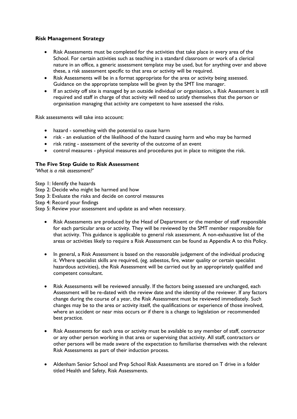#### **Risk Management Strategy**

- Risk Assessments must be completed for the activities that take place in every area of the School. For certain activities such as teaching in a standard classroom or work of a clerical nature in an office, a generic assessment template may be used, but for anything over and above these, a risk assessment specific to that area or activity will be required.
- Risk Assessments will be in a format appropriate for the area or activity being assessed. Guidance on the appropriate template will be given by the SMT line manager.
- If an activity off site is managed by an outside individual or organisation, a Risk Assessment is still required and staff in charge of that activity will need to satisfy themselves that the person or organisation managing that activity are competent to have assessed the risks.

Risk assessments will take into account:

- hazard something with the potential to cause harm
- risk an evaluation of the likelihood of the hazard causing harm and who may be harmed
- risk rating assessment of the severity of the outcome of an event
- control measures physical measures and procedures put in place to mitigate the risk.

#### **The Five Step Guide to Risk Assessment**

*'What is a risk assessment?'*

- Step 1: Identify the hazards
- Step 2: Decide who might be harmed and how
- Step 3: Evaluate the risks and decide on control measures
- Step 4: Record your findings
- Step 5: Review your assessment and update as and when necessary.
	- Risk Assessments are produced by the Head of Department or the member of staff responsible for each particular area or activity. They will be reviewed by the SMT member responsible for that activity. This guidance is applicable to general risk assessment. A non-exhaustive list of the areas or activities likely to require a Risk Assessment can be found as Appendix A to this Policy.
	- In general, a Risk Assessment is based on the reasonable judgement of the individual producing it. Where specialist skills are required, (eg. asbestos, fire, water quality or certain specialist hazardous activities), the Risk Assessment will be carried out by an appropriately qualified and competent consultant.
	- Risk Assessments will be reviewed annually. If the factors being assessed are unchanged, each Assessment will be re-dated with the review date and the identity of the reviewer. If any factors change during the course of a year, the Risk Assessment must be reviewed immediately. Such changes may be to the area or activity itself, the qualifications or experience of those involved, where an accident or near miss occurs or if there is a change to legislation or recommended best practice.
	- Risk Assessments for each area or activity must be available to any member of staff, contractor or any other person working in that area or supervising that activity. All staff, contractors or other persons will be made aware of the expectation to familiarise themselves with the relevant Risk Assessments as part of their induction process.
	- Aldenham Senior School and Prep School Risk Assessments are stored on T drive in a folder titled Health and Safety, Risk Assessments.